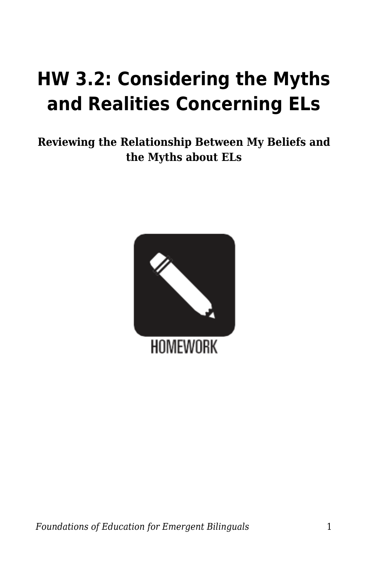## **HW 3.2: Considering the Myths and Realities Concerning ELs**

**Reviewing the Relationship Between My Beliefs and the Myths about ELs**

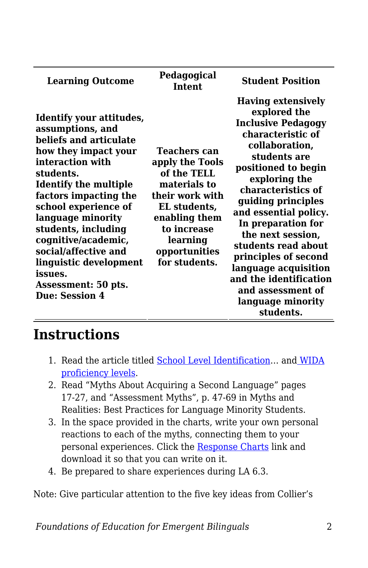| <b>Learning Outcome</b>                                                                                                                                                                                                                                                                                                                                                                          | Pedagogical<br><b>Intent</b>                                                                                                                                                           | <b>Student Position</b>                                                                                                                                                                                                                                                                                                                                                                                                                       |
|--------------------------------------------------------------------------------------------------------------------------------------------------------------------------------------------------------------------------------------------------------------------------------------------------------------------------------------------------------------------------------------------------|----------------------------------------------------------------------------------------------------------------------------------------------------------------------------------------|-----------------------------------------------------------------------------------------------------------------------------------------------------------------------------------------------------------------------------------------------------------------------------------------------------------------------------------------------------------------------------------------------------------------------------------------------|
| Identify your attitudes,<br>assumptions, and<br>beliefs and articulate<br>how they impact your<br>interaction with<br>students.<br><b>Identify the multiple</b><br>factors impacting the<br>school experience of<br>language minority<br>students, including<br>cognitive/academic,<br>social/affective and<br>linguistic development<br>issues.<br>Assessment: 50 pts.<br><b>Due: Session 4</b> | <b>Teachers can</b><br>apply the Tools<br>of the TELL<br>materials to<br>their work with<br>EL students,<br>enabling them<br>to increase<br>learning<br>opportunities<br>for students. | <b>Having extensively</b><br>explored the<br><b>Inclusive Pedagogy</b><br>characteristic of<br>collaboration,<br>students are<br>positioned to begin<br>exploring the<br>characteristics of<br>guiding principles<br>and essential policy.<br>In preparation for<br>the next session,<br>students read about<br>principles of second<br>language acquisition<br>and the identification<br>and assessment of<br>language minority<br>students. |

## **Instructions**

- 1. Read the article titled [School Level Identification](https://byu.box.com/s/k3obm9amxrfkhchs4aoelwjjt50jker7)... and [WIDA](https://byu.box.com/s/6fz9o21q02vb6ifnopocd8qar242gl74) [proficiency levels.](https://byu.box.com/s/6fz9o21q02vb6ifnopocd8qar242gl74)
- 2. Read "Myths About Acquiring a Second Language" pages 17-27, and "Assessment Myths", p. 47-69 in Myths and Realities: Best Practices for Language Minority Students.
- 3. In the space provided in the charts, write your own personal reactions to each of the myths, connecting them to your personal experiences. Click the [Response Charts](https://byu.box.com/s/mno16xqg1v5qspjs0bu5r44au5q58dq5) link and download it so that you can write on it.
- 4. Be prepared to share experiences during LA 6.3.

Note: Give particular attention to the five key ideas from Collier's